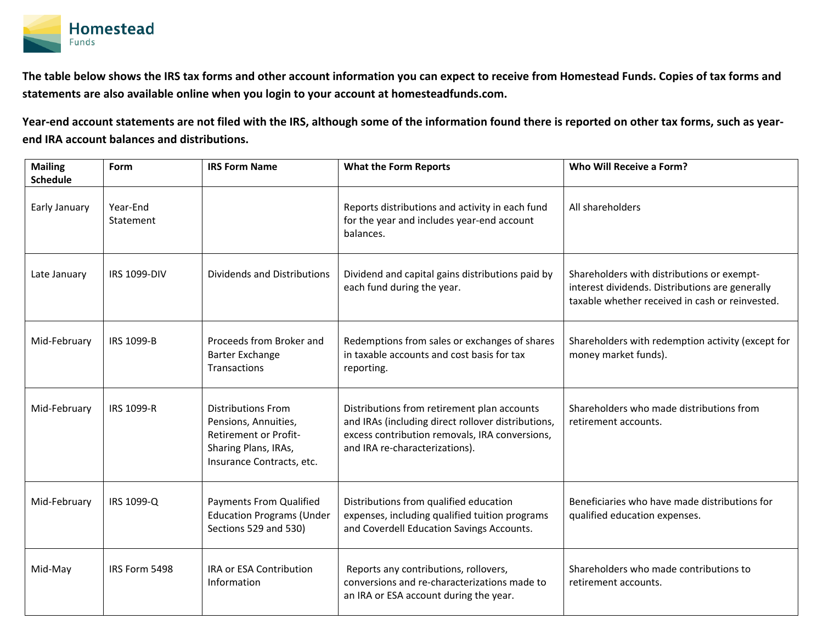

**The table below shows the IRS tax forms and other account information you can expect to receive from Homestead Funds. Copies of tax forms and statements are also available online when you login to your account at homesteadfunds.com.** 

**Year-end account statements are not filed with the IRS, although some of the information found there is reported on other tax forms, such as yearend IRA account balances and distributions.**

| <b>Mailing</b><br><b>Schedule</b> | Form                  | <b>IRS Form Name</b>                                                                                                                   | <b>What the Form Reports</b>                                                                                                                                                          | Who Will Receive a Form?                                                                                                                         |
|-----------------------------------|-----------------------|----------------------------------------------------------------------------------------------------------------------------------------|---------------------------------------------------------------------------------------------------------------------------------------------------------------------------------------|--------------------------------------------------------------------------------------------------------------------------------------------------|
| Early January                     | Year-End<br>Statement |                                                                                                                                        | Reports distributions and activity in each fund<br>for the year and includes year-end account<br>balances.                                                                            | All shareholders                                                                                                                                 |
| Late January                      | <b>IRS 1099-DIV</b>   | Dividends and Distributions                                                                                                            | Dividend and capital gains distributions paid by<br>each fund during the year.                                                                                                        | Shareholders with distributions or exempt-<br>interest dividends. Distributions are generally<br>taxable whether received in cash or reinvested. |
| Mid-February                      | <b>IRS 1099-B</b>     | Proceeds from Broker and<br>Barter Exchange<br>Transactions                                                                            | Redemptions from sales or exchanges of shares<br>in taxable accounts and cost basis for tax<br>reporting.                                                                             | Shareholders with redemption activity (except for<br>money market funds).                                                                        |
| Mid-February                      | IRS 1099-R            | <b>Distributions From</b><br>Pensions, Annuities,<br><b>Retirement or Profit-</b><br>Sharing Plans, IRAs,<br>Insurance Contracts, etc. | Distributions from retirement plan accounts<br>and IRAs (including direct rollover distributions,<br>excess contribution removals, IRA conversions,<br>and IRA re-characterizations). | Shareholders who made distributions from<br>retirement accounts.                                                                                 |
| Mid-February                      | IRS 1099-Q            | <b>Payments From Qualified</b><br><b>Education Programs (Under</b><br>Sections 529 and 530)                                            | Distributions from qualified education<br>expenses, including qualified tuition programs<br>and Coverdell Education Savings Accounts.                                                 | Beneficiaries who have made distributions for<br>qualified education expenses.                                                                   |
| Mid-May                           | IRS Form 5498         | IRA or ESA Contribution<br>Information                                                                                                 | Reports any contributions, rollovers,<br>conversions and re-characterizations made to<br>an IRA or ESA account during the year.                                                       | Shareholders who made contributions to<br>retirement accounts.                                                                                   |